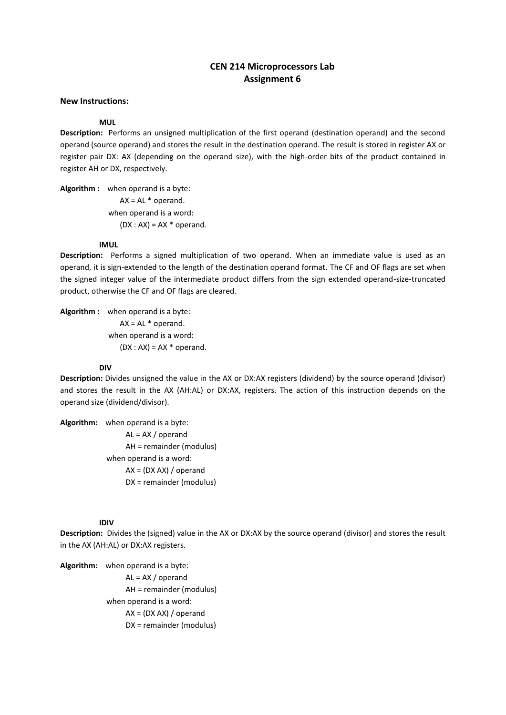# **CEN 214 Microprocessors Lab Assignment 6**

## **New Instructions:**

## **MUL**

**Description:** Performs an unsigned multiplication of the first operand (destination operand) and the second operand (source operand) and stores the result in the destination operand. The result is stored in register AX or register pair DX: AX (depending on the operand size), with the high-order bits of the product contained in register AH or DX, respectively.

**Algorithm :** when operand is a byte:  $AX = AL * operator.$  when operand is a word:  $(DX : AX) = AX * operator.$ 

#### **IMUL**

**Description:** Performs a signed multiplication of two operand. When an immediate value is used as an operand, it is sign-extended to the length of the destination operand format. The CF and OF flags are set when the signed integer value of the intermediate product differs from the sign extended operand-size-truncated product, otherwise the CF and OF flags are cleared.

**Algorithm :** when operand is a byte:  $AX = AL * operator$  when operand is a word:  $(DX : AX) = AX * operator.$ 

#### **DIV**

**Description:** Divides unsigned the value in the AX or DX:AX registers (dividend) by the source operand (divisor) and stores the result in the AX (AH:AL) or DX:AX, registers. The action of this instruction depends on the operand size (dividend/divisor).

**Algorithm:** when operand is a byte: AL = AX / operand AH = remainder (modulus) when operand is a word: AX = (DX AX) / operand DX = remainder (modulus)

#### **IDIV**

**Description:** Divides the (signed) value in the AX or DX:AX by the source operand (divisor) and stores the result in the AX (AH:AL) or DX:AX registers.

**Algorithm:** when operand is a byte: AL = AX / operand AH = remainder (modulus) when operand is a word: AX = (DX AX) / operand DX = remainder (modulus)